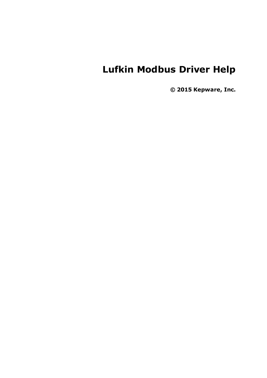# **Lufkin Modbus Driver Help**

**© 2015 Kepware, Inc.**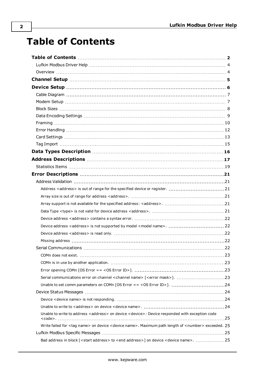# <span id="page-1-0"></span>**Table of Contents**

| Device address <address> is not supported by model <model name="">.  22</model></address>                                       |      |
|---------------------------------------------------------------------------------------------------------------------------------|------|
|                                                                                                                                 |      |
|                                                                                                                                 |      |
|                                                                                                                                 |      |
| COMn does not exist.                                                                                                            | 23.  |
|                                                                                                                                 |      |
|                                                                                                                                 |      |
|                                                                                                                                 |      |
|                                                                                                                                 |      |
|                                                                                                                                 |      |
|                                                                                                                                 |      |
|                                                                                                                                 |      |
| Unable to write to address <address> on device <device>: Device responded with exception code</device></address>                | . 25 |
| Write failed for <tag name=""> on device <device name="">. Maximum path length of <number> exceeded. 25</number></device></tag> |      |
|                                                                                                                                 |      |
| Bad address in block [ <start address=""> to <end address="">] on device <device name="">. 25</device></end></start>            |      |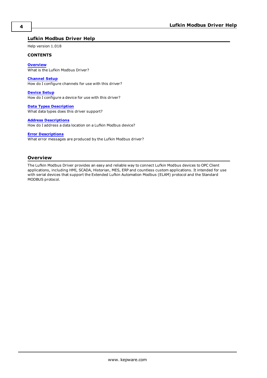# <span id="page-3-0"></span>**Lufkin Modbus Driver Help**

Help version 1.018

#### **CONTENTS**

**[Overview](#page-3-1)** What is the Lufkin Modbus Driver?

**[Channel](#page-4-0) Setup** How do I configure channels for use with this driver?

**[Device](#page-5-0) Setup** How do I configure a device for use with this driver?

**Data Types [Description](#page-15-0)** What data types does this driver support?

#### **Address [Descriptions](#page-16-0)**

How do I address a data location on a Lufkin Modbus device?

#### **Error [Descriptions](#page-20-0)**

What error messages are produced by the Lufkin Modbus driver?

# <span id="page-3-1"></span>**Overview**

The Lufkin Modbus Driver provides an easy and reliable way to connect Lufkin Modbus devices to OPC Client applications, including HMI, SCADA, Historian, MES, ERP and countless custom applications. It intended for use with serial devices that support the Extended Lufkin Automation Modbus (ELAM) protocol and the Standard MODBUS protocol.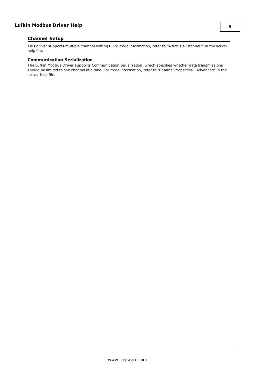# <span id="page-4-0"></span>**Channel Setup**

This driver supports multiple channel settings. For more information, refer to "What is a Channel?" in the server help file.

## **Communication Serialization**

The Lufkin Modbus Driver supports Communication Serialization, which specifies whether data transmissions should be limited to one channel at a time. For more information, refer to "Channel Properties - Advanced" in the server help file.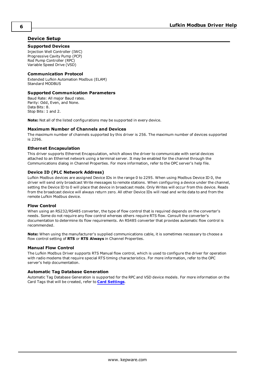# <span id="page-5-0"></span>**Device Setup**

#### **Supported Devices**

Injection Well Controller (IWC) Progressive Cavity Pump (PCP) Rod Pump Controller (RPC) Variable Speed Drive (VSD)

## **Communication Protocol**

Extended Lufkin Automation Modbus (ELAM) Standard MODBUS

#### **Supported Communication Parameters**

Baud Rate: All major Baud rates. Parity: Odd, Even, and None. Data Bits: 8. Stop Bits: 1 and 2.

**Note:** Not all of the listed configurations may be supported in every device.

#### **Maximum Number of Channels and Devices**

The maximum number of channels supported by this driver is 256. The maximum number of devices supported is 2296.

#### <span id="page-5-2"></span>**Ethernet Encapsulation**

This driver supports Ethernet Encapsulation, which allows the driver to communicate with serial devices attached to an Ethernet network using a terminal server. It may be enabled for the channel through the Communications dialog in Channel Properties. For more information, refer to the OPC server's help file.

#### <span id="page-5-1"></span>**Device ID (PLC Network Address)**

Lufkin Modbus devices are assigned Device IDs in the range 0 to 2295. When using Modbus Device ID 0, the driver will send only broadcast Write messages to remote stations. When configuring a device under the channel, setting the Device ID to 0 will place that device in broadcast mode. Only Writes will occur from this device. Reads from the broadcast device will always return zero. All other Device IDs will read and write data to and from the remote Lufkin Modbus device.

#### **Flow Control**

When using an RS232/RS485 converter, the type of flow control that is required depends on the converter's needs. Some do not require any flow control whereas others require RTS flow. Consult the converter's documentation to determine its flow requirements. An RS485 converter that provides automatic flow control is recommended.

**Note:** When using the manufacturer's supplied communications cable, it is sometimes necessary to choose a flow control setting of **RTS** or **RTS Always** in Channel Properties.

## **Manual Flow Control**

The Lufkin Modbus Driver supports RTS Manual flow control, which is used to configure the driver for operation with radio modems that require special RTS timing characteristics. For more information, refer to the OPC server's help documentation.

#### **Automatic Tag Database Generation**

Automatic Tag Database Generation is supported for the RPC and VSD device models. For more information on the Card Tags that will be created, refer to **Card [Settings](#page-12-0)**.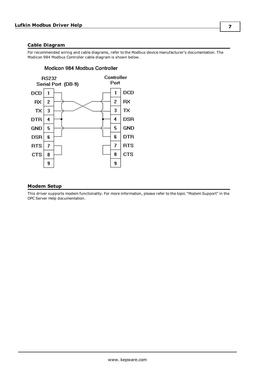# <span id="page-6-0"></span>**Cable Diagram**

For recommended wiring and cable diagrams, refer to the Modbus device manufacturer's documentation. The Modicon 984 Modbus Controller cable diagram is shown below.



# Modicon 984 Modbus Controller

# <span id="page-6-1"></span>**Modem Setup**

This driver supports modem functionality. For more information, please refer to the topic "Modem Support" in the OPC Server Help documentation.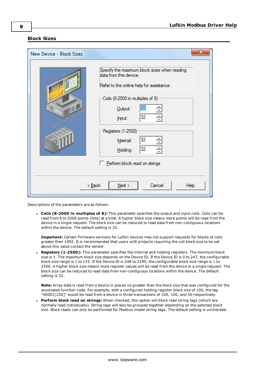### <span id="page-7-0"></span>**Block Sizes**

| New Device - Block Sizes | $\mathbf{x}$                                                                                                                                                                                                                                                                                     |
|--------------------------|--------------------------------------------------------------------------------------------------------------------------------------------------------------------------------------------------------------------------------------------------------------------------------------------------|
| 0                        | Specify the maximum block sizes when reading<br>data from this device.<br>Refer to the online help for assistance.<br>Coils (8-2000 in multiples of 8)<br>32<br>$Q$ utput:<br>32<br>÷<br>Input:<br>Registers (1-2500)<br>32<br>Internal:<br>÷<br>32<br>Holding:<br>Perform block read on strings |
|                          | $<$ Back<br>Cancel<br>Next<br>Help                                                                                                                                                                                                                                                               |

Descriptions of the parameters are as follows:

<sup>l</sup> **Coils (8-2000 in multiples of 8):** This parameter specifies the output and input coils. Coils can be read from 8 to 2000 points (bits) at a time. A higher block size means more points will be read from the device in a single request. The block size can be reduced to read data from non-contiguous locations within the device. The default setting is 32.

**Important:** Certain Firmware versions for Lufkin devices may not support requests for blocks of coils greater than 1992. It is recommended that users with projects requiring the coil block size to be set above this value contact the vendor

**Registers (1-2500):** This parameter specifies the internal and holding registers. The minimum block size is 1. The maximum block size depends on the Device ID. If the Device ID is 0 to 247, the configurable block size range is 1 to 125. If the Device ID is 248 to 2295, the configurable block size range is 1 to 2500. A higher block size means more register values will be read from the device in a single request. The block size can be reduced to read data from non-contiguous locations within the device. The default setting is 32.

**Note:** Array data is read from a device in pieces no greater than the block size that was configured for the associated function code. For example, with a configured holding register block size of 100, the tag "40001[250]" would be read from a device in three transactions of 100, 100, and 50 respectively.

<sup>l</sup> **Perform block read on strings:** When checked, this option will block read string tags (which are normally read individually). String tags will also be grouped together depending on the selected block size. Block reads can only be performed for Modbus model string tags. The default setting is unchecked.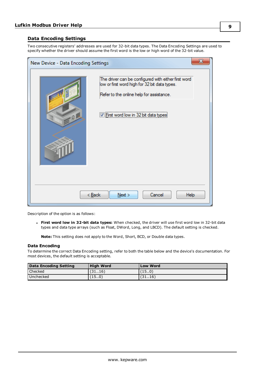# <span id="page-8-0"></span>**Data Encoding Settings**

Two consecutive registers' addresses are used for 32-bit data types. The Data Encoding Settings are used to specify whether the driver should assume the first word is the low or high word of the 32-bit value.

| x<br>New Device - Data Encoding Settings |                                                                                                                                                                                          |
|------------------------------------------|------------------------------------------------------------------------------------------------------------------------------------------------------------------------------------------|
| 10                                       | The driver can be configured with either first word<br>low or first word high for 32 bit data types.<br>Refer to the online help for assistance.<br>First word low in 32 bit data types! |
|                                          | < Back<br>Cancel<br>Next<br>Help                                                                                                                                                         |

Description of the option is as follows:

<sup>l</sup> **First word low in 32-bit data types:** When checked, the driver will use first word low in 32-bit data types and data type arrays (such as Float, DWord, Long, and LBCD). The default setting is checked.

**Note:** This setting does not apply to the Word, Short, BCD, or Double data types.

# **Data Encoding**

To determine the correct Data Encoding setting, refer to both the table below and the device's documentation. For most devices, the default setting is acceptable.

| Data Encoding Setting | <b>High Word</b> | <b>Low Word</b> |
|-----------------------|------------------|-----------------|
| Checked               | (3116)           | (15.0)          |
| Unchecked             | (150)            | (3116)          |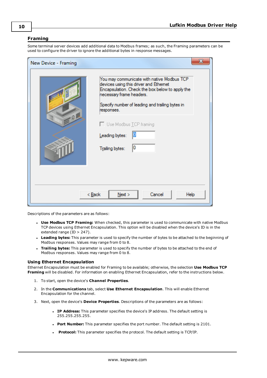# <span id="page-9-0"></span>**Framing**

Some terminal server devices add additional data to Modbus frames; as such, the Framing parameters can be used to configure the driver to ignore the additional bytes in response messages.

| New Device - Framing | х                                                                                                                                                                                                                                                                                                          |
|----------------------|------------------------------------------------------------------------------------------------------------------------------------------------------------------------------------------------------------------------------------------------------------------------------------------------------------|
| $Q_1$                | You may communicate with native Modbus TCP<br>devices using this driver and Ethemet<br>Encapsulation. Check the box below to apply the<br>necessary frame headers.<br>Specify number of leading and trailing bytes in<br>responses.<br>□ Use Modbus TCP framing<br>Leading bytes:<br>10<br>Trailing bytes: |
|                      | Cancel<br>< Back<br>Next<br>Help                                                                                                                                                                                                                                                                           |

Descriptions of the parameters are as follows:

- <sup>l</sup> **Use Modbus TCP Framing:** When checked, this parameter is used to communicate with native Modbus TCP devices using Ethernet Encapsulation. This option will be disabled when the device's ID is in the extended range (ID > 247).
- **Leading bytes:** This parameter is used to specify the number of bytes to be attached to the beginning of Modbus responses. Values may range from 0 to 8.
- **Trailing bytes:** This parameter is used to specify the number of bytes to be attached to the end of Modbus responses. Values may range from 0 to 8.

#### **Using Ethernet Encapsulation**

Ethernet Encapsulation must be enabled for Framing to be available; otherwise, the selection **Use Modbus TCP Framing** will be disabled. For information on enabling Ethernet Encapsulation, refer to the instructions below.

- 1. To start, open the device's **Channel Properties**.
- 2. In the **Communications** tab, select **Use Ethernet Encapsulation**. This will enable Ethernet Encapsulation for the channel.
- 3. Next, open the device's **Device Properties**. Descriptions of the parameters are as follows:
	- **.** IP Address: This parameter specifies the device's IP address. The default setting is 255.255.255.255.
	- <sup>l</sup> **Port Number:** This parameter specifies the port number. The default setting is 2101.
	- **Protocol:** This parameter specifies the protocol. The default setting is TCP/IP.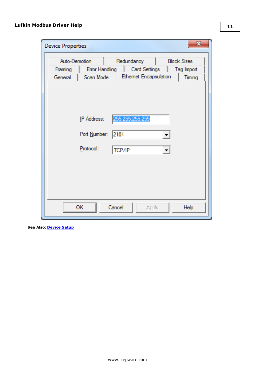| $\mathbf{x}$<br><b>Device Properties</b>                                                                                                                                                                                                                         |
|------------------------------------------------------------------------------------------------------------------------------------------------------------------------------------------------------------------------------------------------------------------|
| Auto-Demotion<br>Redundancy<br><b>Block Sizes</b><br>Error Handling<br>Tag Import<br>Framing<br>Card Settings<br><b>Ethemet Encapsulation</b><br>General<br>Scan Mode<br>Timing<br>255.255.255.255<br>IP Address:<br>Port Number:<br>2101<br>Protocol:<br>TCP/IP |
| <b>OK</b><br>Cancel<br><b>Apply</b><br>Help                                                                                                                                                                                                                      |

**See Also: [Device](#page-5-0) Setup**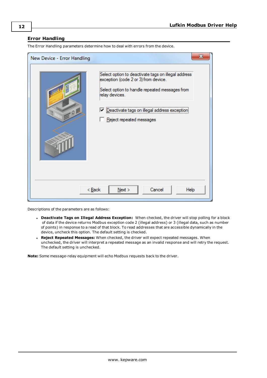# <span id="page-11-0"></span>**Error Handling**

| New Device - Error Handling | X                                                                                                                                                                                                                                             |
|-----------------------------|-----------------------------------------------------------------------------------------------------------------------------------------------------------------------------------------------------------------------------------------------|
| .9                          | Select option to deactivate tags on illegal address<br>exception (code 2 or 3) from device.<br>Select option to handle repeated messages from<br>relay devices.<br>□ Deactivate tags on illegal address exception<br>Reject repeated messages |
| < <u>B</u> ack              | Next<br>Cancel<br>Help                                                                                                                                                                                                                        |

The Error Handling parameters determine how to deal with errors from the device.

Descriptions of the parameters are as follows:

- <sup>l</sup> **Deactivate Tags on Illegal Address Exception:** When checked, the driver will stop polling for a block of data if the device returns Modbus exception code 2 (illegal address) or 3 (illegal data, such as number of points) in response to a read of that block. To read addresses that are accessible dynamically in the device, uncheck this option. The default setting is checked.
- <sup>l</sup> **Reject Repeated Messages:** When checked, the driver will expect repeated messages. When unchecked, the driver will interpret a repeated message as an invalid response and will retry the request. The default setting is unchecked.

**Note:** Some message-relay equipment will echo Modbus requests back to the driver.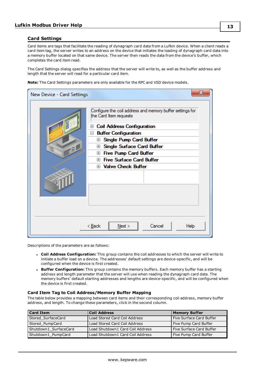# <span id="page-12-0"></span>**Card Settings**

Card items are tags that facilitate the reading of dynagraph card data from a Lufkin device. When a client reads a card item tag, the server writes to an address on the device that initiates the loading of dynagraph card data into a memory buffer located on that same device. The server then reads the data from the device's buffer, which completes the card item read.

The Card Settings dialog specifies the address that the server will write to, as well as the buffer address and length that the server will read for a particular card item.

**Note:** The Card Settings parameters are only available for the RPC and VSD device models.

| New Device - Card Settings |                                                                                                                                                                                                                                                                                                                                                                                                               |
|----------------------------|---------------------------------------------------------------------------------------------------------------------------------------------------------------------------------------------------------------------------------------------------------------------------------------------------------------------------------------------------------------------------------------------------------------|
| $-9$                       | Configure the coil address and memory buffer settings for<br>the Card Item requests<br><b>Coil Address Configuration</b><br>$\mathbf{F}$<br><b>Buffer Configuration</b><br>$\equiv$<br>Single Pump Card Buffer<br>$+$<br>Single Surface Card Buffer<br>$+$<br><b>Ⅲ Five Pump Card Buffer</b><br><b>Ⅲ Five Surface Card Buffer</b><br><b>El Valve Check Buffer</b><br>Cancel<br>< <u>B</u> ack<br>Next<br>Help |
|                            |                                                                                                                                                                                                                                                                                                                                                                                                               |

Descriptions of the parameters are as follows:

- <sup>l</sup> **Coil Address Configuration:** This group contains the coil addresses to which the server will write to initiate a buffer load on a device. The addresses' default settings are device-specific, and will be configured when the device is first created.
- **Buffer Configuration:** This group contains the memory buffers. Each memory buffer has a starting address and length parameter that the server will use when reading the dynagraph card data. The memory buffers' default starting addresses and lengths are device-specific, and will be configured when the device is first created.

#### **Card Item Tag to Coil Address/Memory Buffer Mapping**

The table below provides a mapping between card items and their corresponding coil address, memory buffer address, and length. To change these parameters, click in the second column.

| <b>Card Item</b>      | Coil Address                     | <b>Memory Buffer</b>     |
|-----------------------|----------------------------------|--------------------------|
| Stored SurfaceCard    | Load Stored Card Coil Address    | Five Surface Card Buffer |
| Stored PumpCard       | Load Stored Card Coil Address    | Five Pump Card Buffer    |
| Shutdown1 SurfaceCard | Load Shutdown1 Card Coil Address | Five Surface Card Buffer |
| Shutdown1 PumpCard    | Load Shutdown1 Card Coil Address | Five Pump Card Buffer    |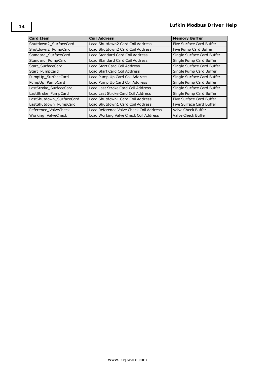| <b>Card Item</b>         | <b>Coil Address</b>                     | <b>Memory Buffer</b>       |
|--------------------------|-----------------------------------------|----------------------------|
| Shutdown2 SurfaceCard    | Load Shutdown2 Card Coil Address        | Five Surface Card Buffer   |
| Shutdown2 PumpCard       | Load Shutdown2 Card Coil Address        | Five Pump Card Buffer      |
| Standard SurfaceCard     | Load Standard Card Coil Address         | Single Surface Card Buffer |
| Standard PumpCard        | Load Standard Card Coil Address         | Single Pump Card Buffer    |
| Start SurfaceCard        | Load Start Card Coil Address            | Single Surface Card Buffer |
| Start PumpCard           | Load Start Card Coil Address            | Single Pump Card Buffer    |
| PumpUp_SurfaceCard       | Load Pump Up Card Coil Address          | Single Surface Card Buffer |
| PumpUp PumpCard          | Load Pump Up Card Coil Address          | Single Pump Card Buffer    |
| LastStroke SurfaceCard   | Load Last Stroke Card Coil Address      | Single Surface Card Buffer |
| LastStroke PumpCard      | Load Last Stroke Card Coil Address      | Single Pump Card Buffer    |
| LastShutdown SurfaceCard | Load Shutdown1 Card Coil Address        | Five Surface Card Buffer   |
| LastShutdown PumpCard    | Load Shutdown1 Card Coil Address        | Five Surface Card Buffer   |
| Reference_ValveCheck     | Load Reference Valve Check Coil Address | Valve Check Buffer         |
| Working ValveCheck       | Load Working Valve Check Coil Address   | Valve Check Buffer         |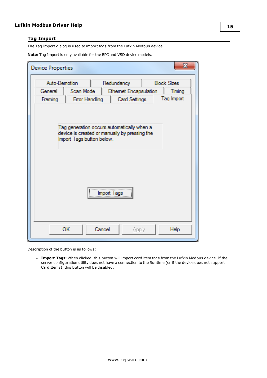# <span id="page-14-0"></span>**Tag Import**

The Tag Import dialog is used to import tags from the Lufkin Modbus device.

**Note:** Tag Import is only available for the RPC and VSD device models.

| <b>Device Properties</b>            | x                                                                                                                                        |
|-------------------------------------|------------------------------------------------------------------------------------------------------------------------------------------|
| Auto-Demotion<br>General<br>Framing | <b>Block Sizes</b><br>Redundancy<br>Scan Mode<br><b>Ethemet Encapsulation</b><br>Timing<br>Tag Import<br>Error Handling<br>Card Settings |
|                                     | Tag generation occurs automatically when a<br>device is created or manually by pressing the<br>Import Tags button below.                 |
|                                     | Import Tags                                                                                                                              |
|                                     | <b>OK</b><br>Cancel<br>Apply<br>Help                                                                                                     |

Description of the button is as follows:

<sup>l</sup> **Import Tags:** When clicked, this button will import card item tags from the Lufkin Modbus device. If the server configuration utility does not have a connection to the Runtime (or if the device does not support Card Items), this button will be disabled.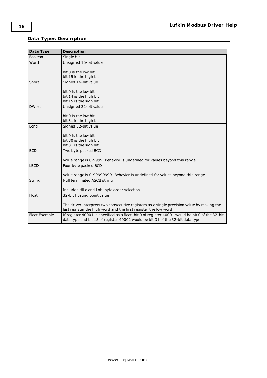# <span id="page-15-0"></span>**Data Types Description**

<span id="page-15-7"></span><span id="page-15-6"></span><span id="page-15-5"></span><span id="page-15-4"></span><span id="page-15-3"></span><span id="page-15-2"></span><span id="page-15-1"></span>

| <b>Data Type</b> | <b>Description</b>                                                                              |
|------------------|-------------------------------------------------------------------------------------------------|
| Boolean          | Single bit                                                                                      |
| Word             | Unsigned 16-bit value                                                                           |
|                  | bit 0 is the low bit                                                                            |
|                  | bit 15 is the high bit                                                                          |
| Short            | Signed 16-bit value                                                                             |
|                  | bit 0 is the low bit                                                                            |
|                  | bit 14 is the high bit                                                                          |
|                  | bit 15 is the sign bit                                                                          |
| <b>DWord</b>     | Unsigned 32-bit value                                                                           |
|                  | bit 0 is the low bit                                                                            |
|                  | bit 31 is the high bit                                                                          |
| Long             | Signed 32-bit value                                                                             |
|                  | bit 0 is the low bit                                                                            |
|                  | bit 30 is the high bit                                                                          |
|                  | bit 31 is the sign bit                                                                          |
| <b>BCD</b>       | Two byte packed BCD                                                                             |
|                  | Value range is 0-9999. Behavior is undefined for values beyond this range.                      |
| <b>LBCD</b>      | Four byte packed BCD                                                                            |
|                  | Value range is 0-99999999. Behavior is undefined for values beyond this range.                  |
| String           | Null terminated ASCII string                                                                    |
|                  | Includes HiLo and LoHi byte order selection.                                                    |
| Float            | 32-bit floating point value                                                                     |
|                  | The driver interprets two consecutive registers as a single precision value by making the       |
|                  | last register the high word and the first register the low word.                                |
| Float Example    | If register 40001 is specified as a float, bit 0 of register 40001 would be bit 0 of the 32-bit |
|                  | data type and bit 15 of register 40002 would be bit 31 of the 32-bit data type.                 |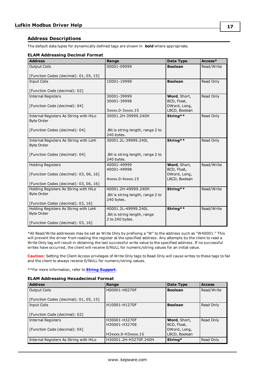# <span id="page-16-0"></span>**Address Descriptions**

The default data types for dynamically defined tags are shown in **bold** where appropriate.

# **ELAM Addressing Decimal Format**

| <b>Address</b>                         | Range                                            | Data Type                     | Access*    |
|----------------------------------------|--------------------------------------------------|-------------------------------|------------|
| <b>Output Coils</b>                    | 00001-09999                                      | <b>Boolean</b>                | Read/Write |
| [Function Codes (decimal): 01, 05, 15] |                                                  |                               |            |
| <b>Input Coils</b>                     | 10001-19999                                      | <b>Boolean</b>                | Read Only  |
|                                        |                                                  |                               |            |
| [Function Code (decimal): 02]          |                                                  |                               |            |
| <b>Internal Registers</b>              | 30001-39999                                      | Word, Short,                  | Read Only  |
|                                        | 30001-39998                                      | BCD, Float,                   |            |
| [Function Code (decimal): 04]          |                                                  | DWord, Long,                  |            |
|                                        | 3xxxx.0-3xxxx.15                                 | LBCD, Boolean                 |            |
| Internal Registers As String with HiLo | 30001.2H-39999.240H                              | String**                      | Read Only  |
| <b>Byte Order</b>                      |                                                  |                               |            |
|                                        |                                                  |                               |            |
| [Function Codes (decimal): 04]         | . Bit is string length, range 2 to               |                               |            |
|                                        | 240 bytes.                                       |                               |            |
| Internal Registers As String with LoHi | 30001.2L-39999.240L                              | String**                      | Read Only  |
| <b>Byte Order</b>                      |                                                  |                               |            |
|                                        |                                                  |                               |            |
| [Function Codes (decimal): 04]         | . Bit is string length, range 2 to               |                               |            |
|                                        | 240 bytes.                                       |                               |            |
| <b>Holding Registers</b>               | 40001-49999                                      | Word, Short,                  | Read/Write |
|                                        | 40001-49998                                      | BCD, Float,                   |            |
| [Function Codes (decimal): 03, 06, 16] | 4xxxx.0-4xxxx.15                                 | DWord, Long,<br>LBCD, Boolean |            |
| [Function Codes (decimal): 03, 06, 16] |                                                  |                               |            |
| Holding Registers As String with HiLo  | 40001.2H-49999.240H                              | String**                      | Read/Write |
| <b>Byte Order</b>                      |                                                  |                               |            |
|                                        | . Bit is string length, range 2 to               |                               |            |
| [Function Codes (decimal): 03, 16]     | 240 bytes.                                       |                               |            |
| Holding Registers As String with LoHi  | 40001.2L-49999.240L                              | String**                      | Read/Write |
| <b>Byte Order</b>                      |                                                  |                               |            |
|                                        | . Bit is string length, range<br>2 to 240 bytes. |                               |            |
| [Function Codes (decimal): 03, 16]     |                                                  |                               |            |

\*All Read/Write addresses may be set as Write Only by prefixing a "W" to the address such as "W40001." This will prevent the driver from reading the register at the specified address. Any attempts by the client to read a Write Only tag will result in obtaining the last successful write value to the specified address. If no successful writes have occurred, the client will receive 0/NULL for numeric/string values for an initial value.

**Caution:** Setting the Client Access privileges of Write Only tags to Read Only will cause writes to these tags to fail and the client to always receive 0/NULL for numeric/string values.

\*\*For more information, refer to **String [Support](#page-17-0)**.

#### **ELAM Addressing Hexadecimal Format**

| <b>Address</b>                         | Range                 | Data Type      | <b>Access</b> |
|----------------------------------------|-----------------------|----------------|---------------|
| <b>Output Coils</b>                    | H00001-H0270F         | <b>Boolean</b> | Read/Write    |
| [Function Codes (decimal): 01, 05, 15] |                       |                |               |
| <b>Input Coils</b>                     | H10001-H1270F         | <b>Boolean</b> | Read Only     |
| [Function Code (decimal): 02]          |                       |                |               |
| <b>Internal Registers</b>              | H30001-H3270F         | Word, Short,   | Read Only     |
|                                        | H30001-H3270E         | BCD, Float,    |               |
| [Function Code (decimal): 04]          |                       | DWord, Long,   |               |
|                                        | H3xxxx.0-H3xxxx.15    | LBCD, Boolean  |               |
| Internal Registers As String with HiLo | H30001.2H-H3270F.240H | String*        | Read Only     |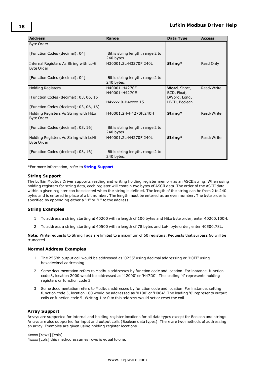| <b>Address</b>                                              | Range                                           | Data Type                     | <b>Access</b> |
|-------------------------------------------------------------|-------------------------------------------------|-------------------------------|---------------|
| <b>Byte Order</b>                                           |                                                 |                               |               |
| [Function Codes (decimal): 04]                              | Bit is string length, range 2 to<br>240 bytes.  |                               |               |
| Internal Registers As String with LoHi<br><b>Byte Order</b> | H30001.2L-H3270F.240L                           | String*                       | Read Only     |
| [Function Codes (decimal): 04]                              | Bit is string length, range 2 to<br>240 bytes.  |                               |               |
| <b>Holding Registers</b>                                    | H40001-H4270F<br>H40001-H4270E                  | Word, Short,<br>BCD, Float,   | Read/Write    |
| [Function Codes (decimal): 03, 06, 16]                      | H4xxxx.0-H4xxxx.15                              | DWord, Long,<br>LBCD, Boolean |               |
| [Function Codes (decimal): 03, 06, 16]                      |                                                 |                               |               |
| Holding Registers As String with HiLo<br><b>Byte Order</b>  | H40001.2H-H4270F.240H                           | String*                       | Read/Write    |
| [Function Codes (decimal): 03, 16]                          | Bit is string length, range 2 to<br>240 bytes.  |                               |               |
| Holding Registers As String with LoHi<br><b>Byte Order</b>  | H40001.2L-H4270F.240L                           | String*                       | Read/Write    |
| [Function Codes (decimal): 03, 16]                          | .Bit is string length, range 2 to<br>240 bytes. |                               |               |

<span id="page-17-0"></span>\*For more information, refer to **String [Support](#page-17-0)**.

## **String Support**

The Lufkin Modbus Driver supports reading and writing holding register memory as an ASCII string. When using holding registers for string data, each register will contain two bytes of ASCII data. The order of the ASCII data within a given register can be selected when the string is defined. The length of the string can be from 2 to 240 bytes and is entered in place of a bit number. The length must be entered as an even number. The byte order is specified by appending either a "H" or "L" to the address.

## **String Examples**

- 1. To address a string starting at 40200 with a length of 100 bytes and HiLo byte order, enter 40200.100H.
- 2. To address a string starting at 40500 with a length of 78 bytes and LoHi byte order, enter 40500.78L.

**Note:** Write requests to String Tags are limited to a maximum of 60 registers. Requests that surpass 60 will be truncated.

# **Normal Address Examples**

- 1. The 255'th output coil would be addressed as '0255' using decimal addressing or 'H0FF' using hexadecimal addressing.
- 2. Some documentation refers to Modbus addresses by function code and location. For instance, function code 3, location 2000 would be addressed as '42000' or 'H47D0'. The leading '4' represents holding registers or function code 3.
- 3. Some documentation refers to Modbus addresses by function code and location. For instance, setting function code 5, location 100 would be addressed as '0100' or 'H064'. The leading '0' represents output coils or function code 5. Writing 1 or 0 to this address would set or reset the coil.

## **Array Support**

Arrays are supported for internal and holding register locations for all data types except for Boolean and strings. Arrays are also supported for input and output coils (Boolean data types). There are two methods of addressing an array. Examples are given using holding register locations.

#### 4xxxx [rows] [cols]

4xxxx [cols] this method assumes rows is equal to one.

**18**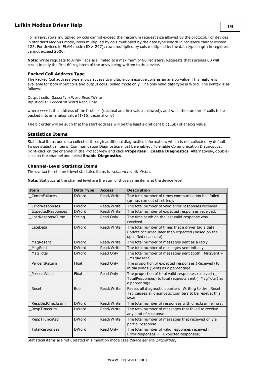For arrays, rows multiplied by cols cannot exceed the maximum request size allowed by the protocol. For devices in standard Modbus mode, rows multiplied by cols multiplied by the data type length in registers cannot exceed 125. For devices in ELAM mode (ID > 247), rows multiplied by cols multiplied by the data type length in registers cannot exceed 2500.

**Note:** Write requests to Array Tags are limited to a maximum of 60 registers. Requests that surpass 60 will result in only the first 60 registers of the array being written to the device.

#### **Packed Coil Address Type**

The Packed Coil address type allows access to multiple consecutive coils as an analog value. This feature is available for both input coils and output coils, polled mode only. The only valid data type is Word. The syntax is as follows:

Output coils: 0*xxxx*#*nn* Word Read/Write Input coils: 1*xxxx*#*nn* Word Read Only

where *xxxx* is the address of the first coil (decimal and hex values allowed), and *nn* is the number of coils to be packed into an analog value (1-16, decimal only).

<span id="page-18-0"></span>The bit order will be such that the start address will be the least significant bit (LSB) of analog value.

# **Statistics Items**

Statistical items use data collected through additional diagnostics information, which is not collected by default. To use statistical items, Communication Diagnostics must be enabled. To enable Communication Diagnostics, right-click on the channel in the Project View and click **Properties | Enable Diagnostics**. Alternatively, doubleclick on the channel and select **Enable Diagnostics**.

#### **Channel-Level Statistics Items**

The syntax for channel-level statistics items is *<channel>.\_Statistics*.

**Note:** Statistics at the channel level are the sum of those same items at the device level.

| <b>Item</b>              | Data Type    | <b>Access</b> | <b>Description</b>                                                                                                               |
|--------------------------|--------------|---------------|----------------------------------------------------------------------------------------------------------------------------------|
| CommFailures             | <b>DWord</b> | Read/Write    | The total number of times communication has failed<br>(or has run out of retries).                                               |
| ErrorResponses           | <b>DWord</b> | Read/Write    | The total number of valid error responses received.                                                                              |
| <b>ExpectedResponses</b> | <b>DWord</b> | Read/Write    | The total number of expected responses received.                                                                                 |
| LastResponseTime         | String       | Read Only     | The time at which the last valid response was<br>received.                                                                       |
| LateData                 | <b>DWord</b> | Read/Write    | The total number of times that a driver tag's data<br>update occurred later than expected (based on the<br>specified scan rate). |
| MsgResent                | <b>DWord</b> | Read/Write    | The total number of messages sent as a retry.                                                                                    |
| MsgSent                  | <b>DWord</b> | Read/Write    | The total number of messages sent initially.                                                                                     |
| MsqTotal                 | <b>DWord</b> | Read Only     | The total number of messages sent (both _MsgSent +<br>MsgResent).                                                                |
| PercentReturn            | Float        | Read Only     | The proportion of expected responses (Received) to<br>initial sends (Sent) as a percentage.                                      |
| PercentValid             | Float        | Read Only     | The proportion of total valid responses received (<br>TotalResponses) to total requests sent (_MsgTotal) as<br>a percentage.     |
| Reset                    | <b>Bool</b>  | Read/Write    | Resets all diagnostic counters. Writing to the _Reset<br>Tag causes all diagnostic counters to be reset at this<br>level.        |
| RespBadChecksum          | <b>DWord</b> | Read/Write    | The total number of responses with checksum errors.                                                                              |
| RespTimeouts             | <b>DWord</b> | Read/Write    | The total number of messages that failed to receive<br>any kind of response.                                                     |
| RespTruncated            | <b>DWord</b> | Read/Write    | The total number of messages that received only a<br>partial response.                                                           |
| _TotalResponses          | <b>DWord</b> | Read Only     | The total number of valid responses received (<br>ErrorResponses + _ExpectedResponses).                                          |

Statistical items are not updated in simulation mode *(see device general properties)*.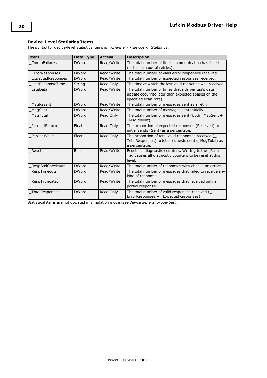# **Device-Level Statistics Items**

The syntax for device-level statistics items is *<channel>.<device>.\_Statistics*.

| <b>Item</b>       | Data Type    | <b>Access</b> | <b>Description</b>                                                                                                               |
|-------------------|--------------|---------------|----------------------------------------------------------------------------------------------------------------------------------|
| CommFailures      | <b>DWord</b> | Read/Write    | The total number of times communication has failed<br>(or has run out of retries).                                               |
| ErrorResponses    | <b>DWord</b> | Read/Write    | The total number of valid error responses received.                                                                              |
| ExpectedResponses | <b>DWord</b> | Read/Write    | The total number of expected responses received.                                                                                 |
| LastResponseTime  | String       | Read Only     | The time at which the last valid response was received.                                                                          |
| LateData          | <b>DWord</b> | Read/Write    | The total number of times that a driver tag's data<br>update occurred later than expected (based on the<br>specified scan rate). |
| MsgResent         | <b>DWord</b> | Read/Write    | The total number of messages sent as a retry.                                                                                    |
| MsgSent           | <b>DWord</b> | Read/Write    | The total number of messages sent initially.                                                                                     |
| MsgTotal          | <b>DWord</b> | Read Only     | The total number of messages sent (both _MsgSent +<br>MsgResent).                                                                |
| PercentReturn     | Float        | Read Only     | The proportion of expected responses (Received) to<br>initial sends (Sent) as a percentage.                                      |
| PercentValid      | Float        | Read Only     | The proportion of total valid responses received (<br>TotalResponses) to total requests sent (_MsgTotal) as<br>a percentage.     |
| Reset             | <b>Bool</b>  | Read/Write    | Resets all diagnostic counters. Writing to the _Reset<br>Tag causes all diagnostic counters to be reset at this<br>level.        |
| RespBadChecksum   | <b>DWord</b> | Read/Write    | The total number of responses with checksum errors.                                                                              |
| RespTimeouts      | <b>DWord</b> | Read/Write    | The total number of messages that failed to receive any<br>kind of response.                                                     |
| RespTruncated     | <b>DWord</b> | Read/Write    | The total number of messages that received only a<br>partial response.                                                           |
| TotalResponses    | <b>DWord</b> | Read Only     | The total number of valid responses received (<br>ErrorResponses + _ExpectedResponses).                                          |

Statistical items are not updated in simulation mode *(see device general properties)*.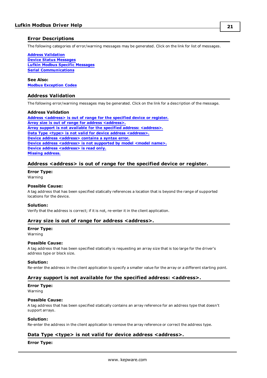# <span id="page-20-0"></span>**Error Descriptions**

The following categories of error/warning messages may be generated. Click on the link for list of messages.

**Address [Validation](#page-20-1) Device Status [Messages](#page-23-1) Lufkin Modbus Specific [Messages](#page-24-2) Serial [Communications](#page-21-4)**

**See Also: Modbus [Exception](#page-26-0) Codes**

# <span id="page-20-1"></span>**Address Validation**

The following error/warning messages may be generated. Click on the link for a description of the message.

#### **Address Validation**

**Address [<address>](#page-20-2) is out of range for the specified device or register. Array size is out of range for address [<address>.](#page-20-3) Array support is not available for the specified address: [<address>.](#page-20-4) Data Type <type> is not valid for device address [<address>.](#page-20-5) Device address [<address>](#page-21-0) contains a syntax error. Device address [<address>](#page-21-1)** is not supported by model <model name>. **Device address [<address>](#page-21-2)** is read only. **Missing [address.](#page-21-3)**

#### <span id="page-20-2"></span>**Address <address> is out of range for the specified device or register.**

#### **Error Type:**

Warning

#### **Possible Cause:**

A tag address that has been specified statically references a location that is beyond the range of supported locations for the device.

#### **Solution:**

<span id="page-20-3"></span>Verify that the address is correct; if it is not, re-enter it in the client application.

#### **Array size is out of range for address <address>.**

#### **Error Type:** Warning

## **Possible Cause:**

A tag address that has been specified statically is requesting an array size that is too large for the driver's address type or block size.

#### **Solution:**

<span id="page-20-4"></span>Re-enter the address in the client application to specify a smaller value for the array or a different starting point.

#### **Array support is not available for the specified address: <address>.**

#### **Error Type:**

Warning

#### **Possible Cause:**

A tag address that has been specified statically contains an array reference for an address type that doesn't support arrays.

#### **Solution:**

<span id="page-20-5"></span>Re-enter the address in the client application to remove the array reference or correct the address type.

## **Data Type <type> is not valid for device address <address>.**

#### **Error Type:**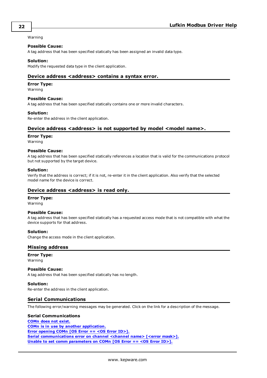#### Warning

#### **Possible Cause:**

A tag address that has been specified statically has been assigned an invalid data type.

#### **Solution:**

<span id="page-21-0"></span>Modify the requested data type in the client application.

#### **Device address <address> contains a syntax error.**

#### **Error Type:**

Warning

#### **Possible Cause:**

A tag address that has been specified statically contains one or more invalid characters.

#### **Solution:**

<span id="page-21-1"></span>Re-enter the address in the client application.

## **Device address <address> is not supported by model <model name>.**

#### **Error Type:**

Warning

#### **Possible Cause:**

A tag address that has been specified statically references a location that is valid for the communications protocol but not supported by the target device.

#### **Solution:**

Verify that the address is correct; if it is not, re-enter it in the client application. Also verify that the selected model name for the device is correct.

#### <span id="page-21-2"></span>**Device address <address>** is read only.

#### **Error Type:**

Warning

#### **Possible Cause:**

A tag address that has been specified statically has a requested access mode that is not compatible with what the device supports for that address.

#### **Solution:**

<span id="page-21-3"></span>Change the access mode in the client application.

## **Missing address**

#### **Error Type:**

Warning

#### **Possible Cause:**

A tag address that has been specified statically has no length.

# **Solution:**

<span id="page-21-4"></span>Re-enter the address in the client application.

#### **Serial Communications**

The following error/warning messages may be generated. Click on the link for a description of the message.

#### **Serial Communications**

**[COMn](#page-22-0) does not exist. COMn is in use by another [application.](#page-22-1) Error [opening](#page-22-2) COMn [OS Error == <OS Error ID>]. Serial [communications](#page-22-3) error on channel <channel name> [<error mask>]. Unable to set comm [parameters](#page-23-0) on COMn [OS Error == <OS Error ID>].**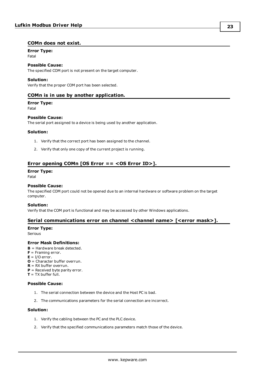# <span id="page-22-0"></span>**COMn does not exist.**

# **Error Type:**

Fatal

# **Possible Cause:**

The specified COM port is not present on the target computer.

#### **Solution:**

<span id="page-22-1"></span>Verify that the proper COM port has been selected.

# **COMn is in use by another application.**

# **Error Type:**

Fatal

#### **Possible Cause:**

The serial port assigned to a device is being used by another application.

#### **Solution:**

- 1. Verify that the correct port has been assigned to the channel.
- 2. Verify that only one copy of the current project is running.

# <span id="page-22-2"></span>**Error opening COMn [OS Error == <OS Error ID>].**

#### **Error Type:**

Fatal

#### **Possible Cause:**

The specified COM port could not be opened due to an internal hardware or software problem on the target computer.

#### **Solution:**

<span id="page-22-3"></span>Verify that the COM port is functional and may be accessed by other Windows applications.

## **Serial communications error on channel <channel name> [<error mask>].**

#### **Error Type:**

Serious

## **Error Mask Definitions:**

- <span id="page-22-4"></span>**B** = Hardware break detected.
- **F** = Framing error.
- <span id="page-22-5"></span> $E = I/O$  error.
- **O** = Character buffer overrun.
- <span id="page-22-6"></span>**R** = RX buffer overrun.
- **P** = Received byte parity error. **T** = TX buffer full.

# **Possible Cause:**

- 1. The serial connection between the device and the Host PC is bad.
- 2. The communications parameters for the serial connection are incorrect.

#### **Solution:**

- 1. Verify the cabling between the PC and the PLC device.
- 2. Verify that the specified communications parameters match those of the device.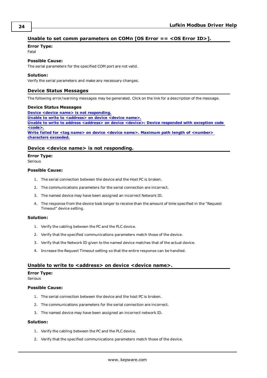# <span id="page-23-0"></span>**Unable to set comm parameters on COMn [OS Error == <OS Error ID>].**

### **Error Type:**

Fatal

# **Possible Cause:**

The serial parameters for the specified COM port are not valid.

## **Solution:**

<span id="page-23-1"></span>Verify the serial parameters and make any necessary changes.

# **Device Status Messages**

The following error/warning messages may be generated. Click on the link for a description of the message.

#### **Device Status Messages**

**Device <device name> is not [responding.](#page-23-2) Unable to write to [<address>](#page-23-3) on device <device name>. Unable to write to address [<address>](#page-24-0) on device <device>: Device responded with exception code [<code>.](#page-24-0) Write failed for <tag name> on device <device name>. Maximum path length of [<number>](#page-24-1) [characters](#page-24-1) exceeded.**

## <span id="page-23-2"></span>**Device <device name> is not responding.**

## **Error Type:**

Serious

#### **Possible Cause:**

- 1. The serial connection between the device and the Host PC is broken.
- 2. The communications parameters for the serial connection are incorrect.
- 3. The named device may have been assigned an incorrect Network ID.
- 4. The response from the device took longer to receive than the amount of time specified in the "Request Timeout" device setting.

#### **Solution:**

- 1. Verify the cabling between the PC and the PLC device.
- 2. Verify that the specified communications parameters match those of the device.
- 3. Verify that the Network ID given to the named device matches that of the actual device.
- 4. Increase the Request Timeout setting so that the entire response can be handled.

# <span id="page-23-3"></span>**Unable to write to <address> on device <device name>.**

#### **Error Type:**

Serious

#### **Possible Cause:**

- 1. The serial connection between the device and the host PC is broken.
- 2. The communications parameters for the serial connection are incorrect.
- 3. The named device may have been assigned an incorrect network ID.

### **Solution:**

- 1. Verify the cabling between the PC and the PLC device.
- 2. Verify that the specified communications parameters match those of the device.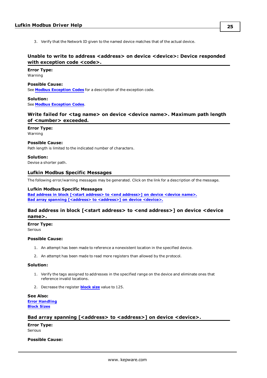3. Verify that the Network ID given to the named device matches that of the actual device.

# <span id="page-24-0"></span>**Unable to write to address <address> on device <device>: Device responded with exception code <code>.**

**Error Type:** Warning

#### **Possible Cause:**

See **Modbus [Exception](#page-26-0) Codes** for a description of the exception code.

# **Solution:**

<span id="page-24-1"></span>See **Modbus [Exception](#page-26-0) Codes**.

# **Write failed for <tag name> on device <device name>. Maximum path length of <number> exceeded.**

#### **Error Type:**

Warning

## **Possible Cause:**

Path length is limited to the indicated number of characters.

#### **Solution:**

<span id="page-24-2"></span>Devise a shorter path.

#### **Lufkin Modbus Specific Messages**

The following error/warning messages may be generated. Click on the link for a description of the message.

#### **Lufkin Modbus Specific Messages**

**Bad address in block [<start address> to <end [address>\]](#page-24-3) on device <device name>. Bad array spanning [\[<address>](#page-24-4) to <address>] on device <device>.**

# <span id="page-24-3"></span>**Bad address in block [<start address> to <end address>] on device <device name>.**

#### **Error Type:**

Serious

#### **Possible Cause:**

- 1. An attempt has been made to reference a nonexistent location in the specified device.
- 2. An attempt has been made to read more registers than allowed by the protocol.

#### **Solution:**

- 1. Verify the tags assigned to addresses in the specified range on the device and eliminate ones that reference invalid locations.
- 2. Decrease the register **[block](#page-7-0) size** value to 125.

#### **See Also: Error [Handling](#page-11-0) [Block](#page-7-0) Sizes**

# <span id="page-24-4"></span>Bad array spanning [<address> to <address>] on device <device>.

**Error Type:** Serious

# **Possible Cause:**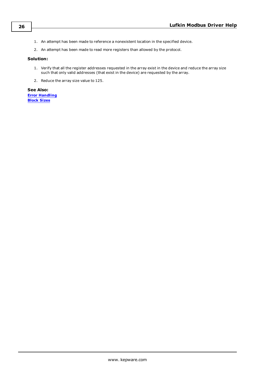- 1. An attempt has been made to reference a nonexistent location in the specified device.
- 2. An attempt has been made to read more registers than allowed by the protocol.

#### **Solution:**

- 1. Verify that all the register addresses requested in the array exist in the device and reduce the array size such that only valid addresses (that exist in the device) are requested by the array.
- 2. Reduce the array size value to 125.

**See Also: Error [Handling](#page-11-0) [Block](#page-7-0) Sizes**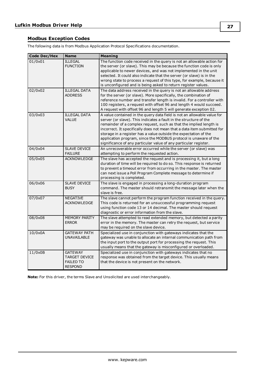# <span id="page-26-0"></span>**Modbus Exception Codes**

The following data is from Modbus Application Protocol Specifications documentation.

| <b>Code Dec/Hex</b> | <b>Name</b>                                                                  | <b>Meaning</b>                                                                                                                                                                                                                                                                                                                                                                                                                                                                                            |
|---------------------|------------------------------------------------------------------------------|-----------------------------------------------------------------------------------------------------------------------------------------------------------------------------------------------------------------------------------------------------------------------------------------------------------------------------------------------------------------------------------------------------------------------------------------------------------------------------------------------------------|
| 01/0x01             | <b>ILLEGAL</b><br><b>FUNCTION</b>                                            | The function code received in the query is not an allowable action for<br>the server (or slave). This may be because the function code is only<br>applicable to newer devices, and was not implemented in the unit<br>selected. It could also indicate that the server (or slave) is in the<br>wrong state to process a request of this type, for example, because it<br>is unconfigured and is being asked to return register values.                                                                    |
| 02/0x02             | <b>ILLEGAL DATA</b><br><b>ADDRESS</b>                                        | The data address received in the query is not an allowable address<br>for the server (or slave). More specifically, the combination of<br>reference number and transfer length is invalid. For a controller with<br>100 registers, a request with offset 96 and length 4 would succeed.<br>A request with offset 96 and length 5 will generate exception 02.                                                                                                                                              |
| 03/0x03             | <b>ILLEGAL DATA</b><br><b>VALUE</b>                                          | A value contained in the query data field is not an allowable value for<br>server (or slave). This indicates a fault in the structure of the<br>remainder of a complex request, such as that the implied length is<br>incorrect. It specifically does not mean that a data item submitted for<br>storage in a register has a value outside the expectation of the<br>application program, since the MODBUS protocol is unaware of the<br>significance of any particular value of any particular register. |
| 04/0x04             | <b>SLAVE DEVICE</b><br><b>FAILURE</b>                                        | An unrecoverable error occurred while the server (or slave) was<br>attempting to perform the requested action.                                                                                                                                                                                                                                                                                                                                                                                            |
| 05/0x05             | <b>ACKNOWLEDGE</b>                                                           | The slave has accepted the request and is processing it, but a long<br>duration of time will be required to do so. This response is returned<br>to prevent a timeout error from occurring in the master. The master<br>can next issue a Poll Program Complete message to determine if<br>processing is completed.                                                                                                                                                                                         |
| 06/0x06             | <b>SLAVE DEVICE</b><br><b>BUSY</b>                                           | The slave is engaged in processing a long-duration program<br>command. The master should retransmit the message later when the<br>slave is free.                                                                                                                                                                                                                                                                                                                                                          |
| 07/0x07             | <b>NEGATIVE</b><br><b>ACKNOWLEDGE</b>                                        | The slave cannot perform the program function received in the query.<br>This code is returned for an unsuccessful programming request<br>using function code 13 or 14 decimal. The master should request<br>diagnostic or error information from the slave.                                                                                                                                                                                                                                               |
| 08/0x08             | <b>MEMORY PARITY</b><br><b>ERROR</b>                                         | The slave attempted to read extended memory, but detected a parity<br>error in the memory. The master can retry the request, but service<br>may be required on the slave device.                                                                                                                                                                                                                                                                                                                          |
| 10/0x0A             | <b>GATEWAY PATH</b><br><b>UNAVAILABLE</b>                                    | Specialized use in conjunction with gateways indicates that the<br>gateway was unable to allocate an internal communication path from<br>the input port to the output port for processing the request. This<br>usually means that the gateway is misconfigured or overloaded.                                                                                                                                                                                                                             |
| 11/0x0B             | <b>GATEWAY</b><br><b>TARGET DEVICE</b><br><b>FAILED TO</b><br><b>RESPOND</b> | Specialized use in conjunction with gateways indicates that no<br>response was obtained from the target device. This usually means<br>that the device is not present on the network.                                                                                                                                                                                                                                                                                                                      |

**Note:** For this driver, the terms Slave and Unsolicited are used interchangeably.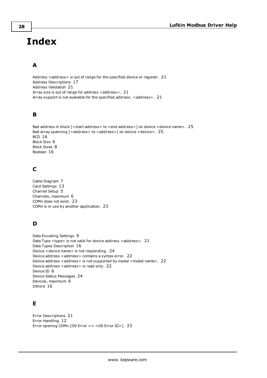# <span id="page-27-0"></span>**Index**

# **A**

Address <address> is out of range for the specified device or register. [21](#page-20-2) Address Descriptions [17](#page-16-0) Address Validation [21](#page-20-1) Array size is out of range for address <address>. [21](#page-20-3) Array support is not available for the specified address: <address>. [21](#page-20-4)

# **B**

```
25
25
BCD 16
Block Size 6
Block Sizes 8
Boolean 16
```
# **C**

Cable Diagram [7](#page-6-0) Card Settings [13](#page-12-0) Channel Setup [5](#page-4-0) Channels, maximum [6](#page-5-0) COMn does not exist. [23](#page-22-0) COMn is in use by another application. [23](#page-22-1)

# **D**

```
Data Encoding Settings 9
21
Data Types Description 16
Device <device name> is not responding. 24
22
22
22
Device ID 6
Device Status Messages 24
Devices, maximum 6
DWord 16
```
# **E**

Error Descriptions [21](#page-20-0) Error Handling [12](#page-11-0) Error opening COMn [OS Error == <OS Error ID>]. [23](#page-22-2)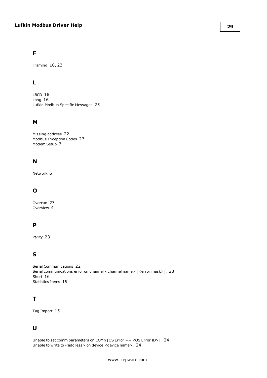# **F**

Framing [10](#page-9-0), [23](#page-22-4)

# **L**

LBCD [16](#page-15-4) Long [16](#page-15-5) Lufkin Modbus Specific Messages [25](#page-24-2)

# **M**

Missing address [22](#page-21-3) Modbus Exception Codes [27](#page-26-0) Modem Setup [7](#page-6-1)

# **N**

Network [6](#page-5-2)

# **O**

Overrun [23](#page-22-5) Overview [4](#page-3-1)

# **P**

Parity [23](#page-22-6)

# **S**

Serial Communications [22](#page-21-4) Serial communications error on channel <channel name> [<error mask>]. [23](#page-22-3) Short [16](#page-15-6) Statistics Items [19](#page-18-0)

# **T**

Tag Import [15](#page-14-0)

# **U**

Unable to set comm parameters on COMn [OS Error == <OS Error ID>]. [24](#page-23-0) Unable to write to <address> on device <device name>. [24](#page-23-3)